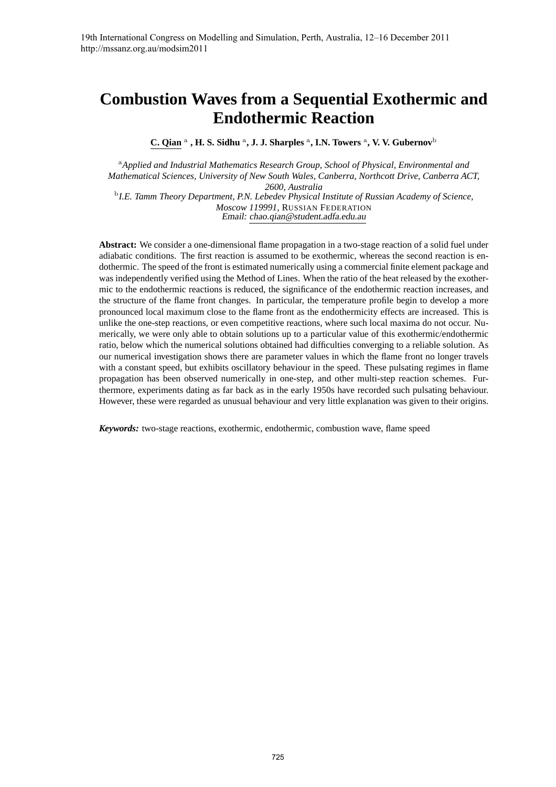# **Combustion Waves from a Sequential Exothermic and Endothermic Reaction**

C. Qian<sup>a</sup>, H. S. Sidhu<sup>a</sup>, J. J. Sharples<sup>a</sup>, I.N. Towers<sup>a</sup>, V. V. Gubernov<sup>b</sup>

<sup>a</sup>*Applied and Industrial Mathematics Research Group, School of Physical, Environmental and Mathematical Sciences, University of New South Wales, Canberra, Northcott Drive, Canberra ACT, 2600, Australia* b *I.E. Tamm Theory Department, P.N. Lebedev Physical Institute of Russian Academy of Science, Moscow 119991,* RUSSIAN FEDERATION Email: chao.qian@student.adfa.edu.au

**Abstract:** We consider a one-dimensional flame propagation in a two-stage reaction of a solid fuel under adiabatic conditions. The first reaction is assumed to be exothermic, whereas the second reaction is endothermic. The speed of the front is estimated numerically using a commercial finite element package and was independently verified using the Method of Lines. When the ratio of the heat released by the exothermic to the endothermic reactions is reduced, the significance of the endothermic reaction increases, and the structure of the flame front changes. In particular, the temperature profile begin to develop a more pronounced local maximum close to the flame front as the endothermicity effects are increased. This is unlike the one-step reactions, or even competitive reactions, where such local maxima do not occur. Numerically, we were only able to obtain solutions up to a particular value of this exothermic/endothermic ratio, below which the numerical solutions obtained had difficulties converging to a reliable solution. As our numerical investigation shows there are parameter values in which the flame front no longer travels with a constant speed, but exhibits oscillatory behaviour in the speed. These pulsating regimes in flame propagation has been observed numerically in one-step, and other multi-step reaction schemes. Furthermore, experiments dating as far back as in the early 1950s have recorded such pulsating behaviour. However, these were regarded as unusual behaviour and very little explanation was given to their origins.

*Keywords:* two-stage reactions, exothermic, endothermic, combustion wave, flame speed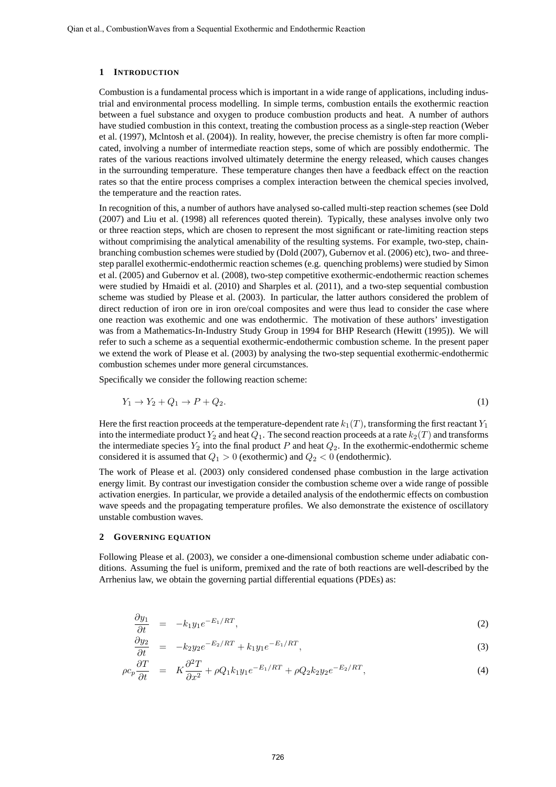#### **1 INTRODUCTION**

Combustion is a fundamental process which is important in a wide range of applications, including industrial and environmental process modelling. In simple terms, combustion entails the exothermic reaction between a fuel substance and oxygen to produce combustion products and heat. A number of authors have studied combustion in this context, treating the combustion process as a single-step reaction (Weber et al. (1997), Mclntosh et al. (2004)). In reality, however, the precise chemistry is often far more complicated, involving a number of intermediate reaction steps, some of which are possibly endothermic. The rates of the various reactions involved ultimately determine the energy released, which causes changes in the surrounding temperature. These temperature changes then have a feedback effect on the reaction rates so that the entire process comprises a complex interaction between the chemical species involved, the temperature and the reaction rates.

In recognition of this, a number of authors have analysed so-called multi-step reaction schemes (see Dold (2007) and Liu et al. (1998) all references quoted therein). Typically, these analyses involve only two or three reaction steps, which are chosen to represent the most significant or rate-limiting reaction steps without comprimising the analytical amenability of the resulting systems. For example, two-step, chainbranching combustion schemes were studied by (Dold (2007), Gubernov et al. (2006) etc), two- and threestep parallel exothermic-endothermic reaction schemes (e.g. quenching problems) were studied by Simon et al. (2005) and Gubernov et al. (2008), two-step competitive exothermic-endothermic reaction schemes were studied by Hmaidi et al. (2010) and Sharples et al. (2011), and a two-step sequential combustion scheme was studied by Please et al. (2003). In particular, the latter authors considered the problem of direct reduction of iron ore in iron ore/coal composites and were thus lead to consider the case where one reaction was exothemic and one was endothermic. The motivation of these authors' investigation was from a Mathematics-In-Industry Study Group in 1994 for BHP Research (Hewitt (1995)). We will refer to such a scheme as a sequential exothermic-endothermic combustion scheme. In the present paper we extend the work of Please et al. (2003) by analysing the two-step sequential exothermic-endothermic combustion schemes under more general circumstances.

Specifically we consider the following reaction scheme:

$$
Y_1 \to Y_2 + Q_1 \to P + Q_2. \tag{1}
$$

Here the first reaction proceeds at the temperature-dependent rate  $k_1(T)$ , transforming the first reactant  $Y_1$ into the intermediate product  $Y_2$  and heat  $Q_1$ . The second reaction proceeds at a rate  $k_2(T)$  and transforms the intermediate species  $Y_2$  into the final product P and heat  $Q_2$ . In the exothermic-endothermic scheme considered it is assumed that  $Q_1 > 0$  (exothermic) and  $Q_2 < 0$  (endothermic).

The work of Please et al. (2003) only considered condensed phase combustion in the large activation energy limit. By contrast our investigation consider the combustion scheme over a wide range of possible activation energies. In particular, we provide a detailed analysis of the endothermic effects on combustion wave speeds and the propagating temperature profiles. We also demonstrate the existence of oscillatory unstable combustion waves.

#### **2 GOVERNING EQUATION**

Following Please et al. (2003), we consider a one-dimensional combustion scheme under adiabatic conditions. Assuming the fuel is uniform, premixed and the rate of both reactions are well-described by the Arrhenius law, we obtain the governing partial differential equations (PDEs) as:

$$
\frac{\partial y_1}{\partial t} = -k_1 y_1 e^{-E_1/RT}, \tag{2}
$$

$$
\frac{\partial y_2}{\partial t} = -k_2 y_2 e^{-E_2/RT} + k_1 y_1 e^{-E_1/RT}, \tag{3}
$$

$$
\rho c_p \frac{\partial T}{\partial t} = K \frac{\partial^2 T}{\partial x^2} + \rho Q_1 k_1 y_1 e^{-E_1/RT} + \rho Q_2 k_2 y_2 e^{-E_2/RT}, \tag{4}
$$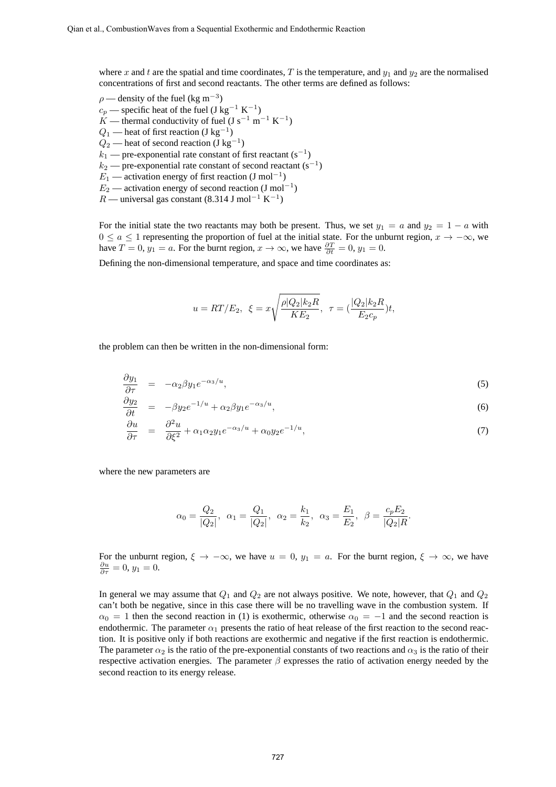where x and t are the spatial and time coordinates, T is the temperature, and  $y_1$  and  $y_2$  are the normalised concentrations of first and second reactants. The other terms are defined as follows:

 $\rho$  — density of the fuel (kg m<sup>-3</sup>)  $c_p$  — specific heat of the fuel (J kg<sup>-1</sup> K<sup>-1</sup>)  $K$  — thermal conductivity of fuel (J s<sup>-1</sup> m<sup>-1</sup> K<sup>-1</sup>)  $Q_1$  — heat of first reaction (J kg<sup>-1</sup>)  $Q_2$  — heat of second reaction (J kg<sup>-1</sup>)  $k_1$  — pre-exponential rate constant of first reactant (s<sup>-1</sup>)  $k_2$  — pre-exponential rate constant of second reactant (s<sup>-1</sup>)  $E_1$  — activation energy of first reaction (J mol<sup>-1</sup>)  $E_2$  — activation energy of second reaction (J mol<sup>-1</sup>)  $R$  — universal gas constant (8.314 J mol<sup>-1</sup> K<sup>-1</sup>)

For the initial state the two reactants may both be present. Thus, we set  $y_1 = a$  and  $y_2 = 1 - a$  with  $0 \le a \le 1$  representing the proportion of fuel at the initial state. For the unburnt region,  $x \to -\infty$ , we have  $T = 0$ ,  $y_1 = a$ . For the burnt region,  $x \to \infty$ , we have  $\frac{\partial T}{\partial t} = 0$ ,  $y_1 = 0$ .

Defining the non-dimensional temperature, and space and time coordinates as:

$$
u=RT/E_2, \ \ \xi=x\sqrt{\frac{\rho|Q_2|k_2R}{KE_2}}, \ \ \tau=(\frac{|Q_2|k_2R}{E_2c_p})t,
$$

the problem can then be written in the non-dimensional form:

$$
\frac{\partial y_1}{\partial \tau} = -\alpha_2 \beta y_1 e^{-\alpha_3/u}, \tag{5}
$$

$$
\frac{\partial y_2}{\partial t} = -\beta y_2 e^{-1/u} + \alpha_2 \beta y_1 e^{-\alpha_3/u}, \tag{6}
$$

$$
\frac{\partial u}{\partial \tau} = \frac{\partial^2 u}{\partial \xi^2} + \alpha_1 \alpha_2 y_1 e^{-\alpha_3/u} + \alpha_0 y_2 e^{-1/u}, \tag{7}
$$

where the new parameters are

$$
\alpha_0 = \frac{Q_2}{|Q_2|}, \ \alpha_1 = \frac{Q_1}{|Q_2|}, \ \alpha_2 = \frac{k_1}{k_2}, \ \alpha_3 = \frac{E_1}{E_2}, \ \beta = \frac{c_p E_2}{|Q_2|R}.
$$

For the unburnt region,  $\xi \to -\infty$ , we have  $u = 0$ ,  $y_1 = a$ . For the burnt region,  $\xi \to \infty$ , we have  $\frac{\partial u}{\partial \tau} = 0, y_1 = 0.$ 

In general we may assume that  $Q_1$  and  $Q_2$  are not always positive. We note, however, that  $Q_1$  and  $Q_2$ can't both be negative, since in this case there will be no travelling wave in the combustion system. If  $\alpha_0 = 1$  then the second reaction in (1) is exothermic, otherwise  $\alpha_0 = -1$  and the second reaction is endothermic. The parameter  $\alpha_1$  presents the ratio of heat release of the first reaction to the second reaction. It is positive only if both reactions are exothermic and negative if the first reaction is endothermic. The parameter  $\alpha_2$  is the ratio of the pre-exponential constants of two reactions and  $\alpha_3$  is the ratio of their respective activation energies. The parameter  $\beta$  expresses the ratio of activation energy needed by the second reaction to its energy release.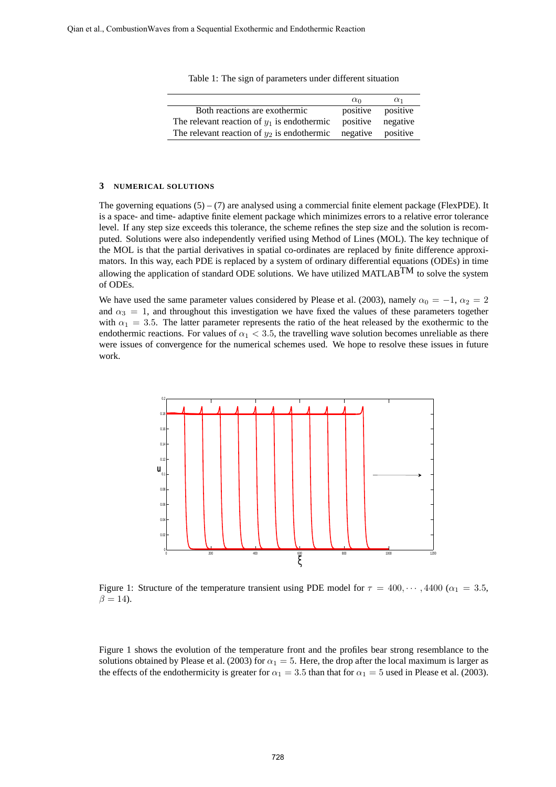|  |  |  | Table 1: The sign of parameters under different situation |  |  |  |
|--|--|--|-----------------------------------------------------------|--|--|--|
|--|--|--|-----------------------------------------------------------|--|--|--|

|                                               | $\alpha_0$        | $\alpha_1$        |
|-----------------------------------------------|-------------------|-------------------|
| Both reactions are exothermic                 |                   | positive positive |
| The relevant reaction of $y_1$ is endothermic | positive negative |                   |
| The relevant reaction of $y_2$ is endothermic | negative          | positive          |

#### **3 NUMERICAL SOLUTIONS**

The governing equations  $(5) - (7)$  are analysed using a commercial finite element package (FlexPDE). It is a space- and time- adaptive finite element package which minimizes errors to a relative error tolerance level. If any step size exceeds this tolerance, the scheme refines the step size and the solution is recomputed. Solutions were also independently verified using Method of Lines (MOL). The key technique of the MOL is that the partial derivatives in spatial co-ordinates are replaced by finite difference approximators. In this way, each PDE is replaced by a system of ordinary differential equations (ODEs) in time allowing the application of standard ODE solutions. We have utilized MATLAB<sup>TM</sup> to solve the system of ODEs.

We have used the same parameter values considered by Please et al. (2003), namely  $\alpha_0 = -1$ ,  $\alpha_2 = 2$ and  $\alpha_3 = 1$ , and throughout this investigation we have fixed the values of these parameters together with  $\alpha_1 = 3.5$ . The latter parameter represents the ratio of the heat released by the exothermic to the endothermic reactions. For values of  $\alpha_1 < 3.5$ , the travelling wave solution becomes unreliable as there were issues of convergence for the numerical schemes used. We hope to resolve these issues in future work.



Figure 1: Structure of the temperature transient using PDE model for  $\tau = 400, \dots, 4400$  ( $\alpha_1 = 3.5$ ,  $\beta = 14$ ).

Figure 1 shows the evolution of the temperature front and the profiles bear strong resemblance to the solutions obtained by Please et al. (2003) for  $\alpha_1 = 5$ . Here, the drop after the local maximum is larger as the effects of the endothermicity is greater for  $\alpha_1 = 3.5$  than that for  $\alpha_1 = 5$  used in Please et al. (2003).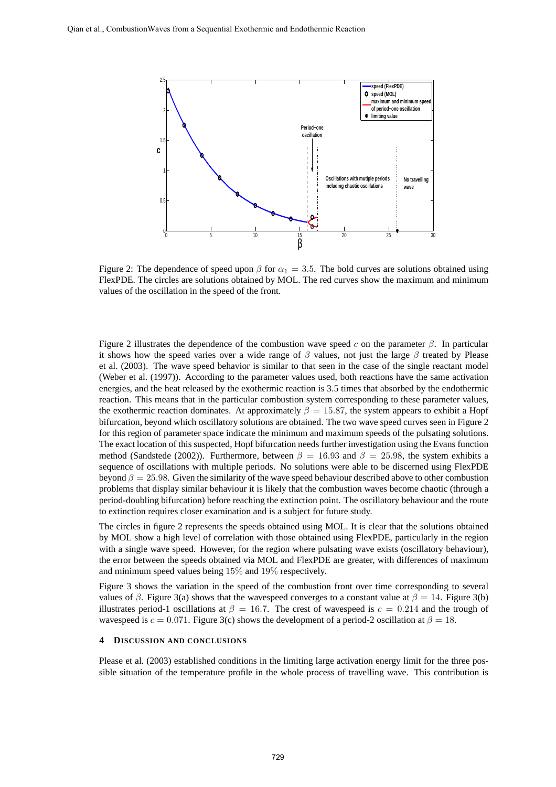

Figure 2: The dependence of speed upon  $\beta$  for  $\alpha_1 = 3.5$ . The bold curves are solutions obtained using FlexPDE. The circles are solutions obtained by MOL. The red curves show the maximum and minimum values of the oscillation in the speed of the front.

Figure 2 illustrates the dependence of the combustion wave speed c on the parameter  $\beta$ . In particular it shows how the speed varies over a wide range of  $\beta$  values, not just the large  $\beta$  treated by Please et al. (2003). The wave speed behavior is similar to that seen in the case of the single reactant model (Weber et al. (1997)). According to the parameter values used, both reactions have the same activation energies, and the heat released by the exothermic reaction is 3.5 times that absorbed by the endothermic reaction. This means that in the particular combustion system corresponding to these parameter values, the exothermic reaction dominates. At approximately  $\beta = 15.87$ , the system appears to exhibit a Hopf bifurcation, beyond which oscillatory solutions are obtained. The two wave speed curves seen in Figure 2 for this region of parameter space indicate the minimum and maximum speeds of the pulsating solutions. The exact location of this suspected, Hopf bifurcation needs further investigation using the Evans function method (Sandstede (2002)). Furthermore, between  $\beta = 16.93$  and  $\beta = 25.98$ , the system exhibits a sequence of oscillations with multiple periods. No solutions were able to be discerned using FlexPDE beyond  $\beta = 25.98$ . Given the similarity of the wave speed behaviour described above to other combustion problems that display similar behaviour it is likely that the combustion waves become chaotic (through a period-doubling bifurcation) before reaching the extinction point. The oscillatory behaviour and the route to extinction requires closer examination and is a subject for future study.

The circles in figure 2 represents the speeds obtained using MOL. It is clear that the solutions obtained by MOL show a high level of correlation with those obtained using FlexPDE, particularly in the region with a single wave speed. However, for the region where pulsating wave exists (oscillatory behaviour), the error between the speeds obtained via MOL and FlexPDE are greater, with differences of maximum and minimum speed values being 15% and 19% respectively.

Figure 3 shows the variation in the speed of the combustion front over time corresponding to several values of  $\beta$ . Figure 3(a) shows that the wavespeed converges to a constant value at  $\beta = 14$ . Figure 3(b) illustrates period-1 oscillations at  $\beta = 16.7$ . The crest of wavespeed is  $c = 0.214$  and the trough of wavespeed is  $c = 0.071$ . Figure 3(c) shows the development of a period-2 oscillation at  $\beta = 18$ .

### **4 DISCUSSION AND CONCLUSIONS**

Please et al. (2003) established conditions in the limiting large activation energy limit for the three possible situation of the temperature profile in the whole process of travelling wave. This contribution is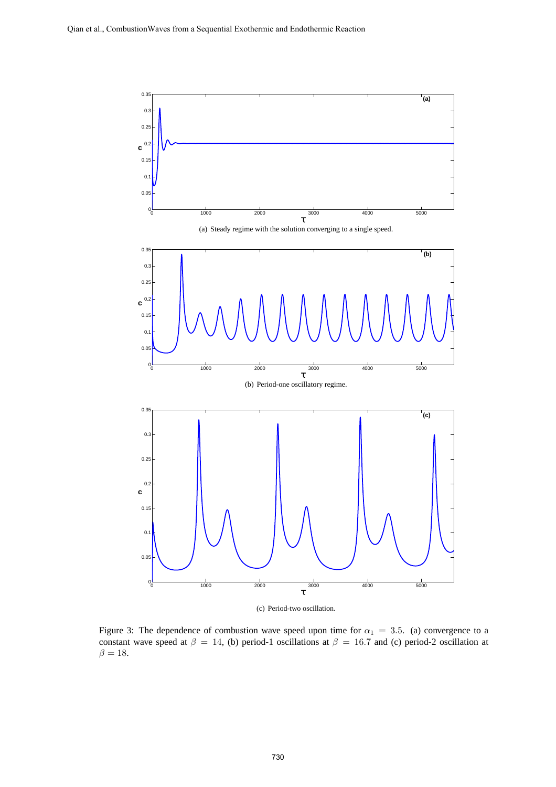

(c) Period-two oscillation.

Figure 3: The dependence of combustion wave speed upon time for  $\alpha_1 = 3.5$ . (a) convergence to a constant wave speed at  $\beta = 14$ , (b) period-1 oscillations at  $\beta = 16.7$  and (c) period-2 oscillation at  $\beta = 18.$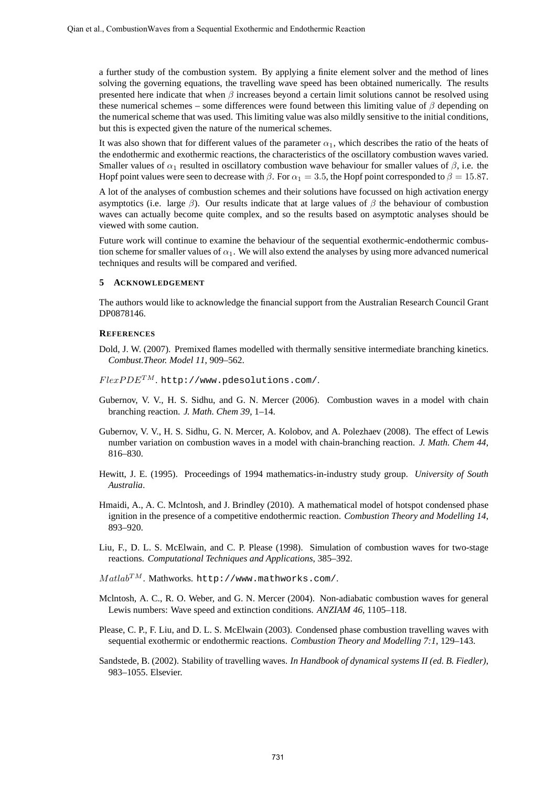a further study of the combustion system. By applying a finite element solver and the method of lines solving the governing equations, the travelling wave speed has been obtained numerically. The results presented here indicate that when  $\beta$  increases beyond a certain limit solutions cannot be resolved using these numerical schemes – some differences were found between this limiting value of  $\beta$  depending on the numerical scheme that was used. This limiting value was also mildly sensitive to the initial conditions, but this is expected given the nature of the numerical schemes.

It was also shown that for different values of the parameter  $\alpha_1$ , which describes the ratio of the heats of the endothermic and exothermic reactions, the characteristics of the oscillatory combustion waves varied. Smaller values of  $\alpha_1$  resulted in oscillatory combustion wave behaviour for smaller values of  $\beta$ , i.e. the Hopf point values were seen to decrease with  $\beta$ . For  $\alpha_1 = 3.5$ , the Hopf point corresponded to  $\beta = 15.87$ .

A lot of the analyses of combustion schemes and their solutions have focussed on high activation energy asymptotics (i.e. large  $\beta$ ). Our results indicate that at large values of  $\beta$  the behaviour of combustion waves can actually become quite complex, and so the results based on asymptotic analyses should be viewed with some caution.

Future work will continue to examine the behaviour of the sequential exothermic-endothermic combustion scheme for smaller values of  $\alpha_1$ . We will also extend the analyses by using more advanced numerical techniques and results will be compared and verified.

#### **5 ACKNOWLEDGEMENT**

The authors would like to acknowledge the financial support from the Australian Research Council Grant DP0878146.

## **REFERENCES**

- Dold, J. W. (2007). Premixed flames modelled with thermally sensitive intermediate branching kinetics. *Combust.Theor. Model 11*, 909–562.
- $FlexPDE^{TM}$ . http://www.pdesolutions.com/.
- Gubernov, V. V., H. S. Sidhu, and G. N. Mercer (2006). Combustion waves in a model with chain branching reaction. *J. Math. Chem 39*, 1–14.
- Gubernov, V. V., H. S. Sidhu, G. N. Mercer, A. Kolobov, and A. Polezhaev (2008). The effect of Lewis number variation on combustion waves in a model with chain-branching reaction. *J. Math. Chem 44*, 816–830.
- Hewitt, J. E. (1995). Proceedings of 1994 mathematics-in-industry study group. *University of South Australia*.
- Hmaidi, A., A. C. Mclntosh, and J. Brindley (2010). A mathematical model of hotspot condensed phase ignition in the presence of a competitive endothermic reaction. *Combustion Theory and Modelling 14*, 893–920.
- Liu, F., D. L. S. McElwain, and C. P. Please (1998). Simulation of combustion waves for two-stage reactions. *Computational Techniques and Applications*, 385–392.
- $\mathit{Matlab^{TM}}$  . Mathworks. http://www.mathworks.com/.
- Mclntosh, A. C., R. O. Weber, and G. N. Mercer (2004). Non-adiabatic combustion waves for general Lewis numbers: Wave speed and extinction conditions. *ANZIAM 46*, 1105–118.
- Please, C. P., F. Liu, and D. L. S. McElwain (2003). Condensed phase combustion travelling waves with sequential exothermic or endothermic reactions. *Combustion Theory and Modelling 7:1*, 129–143.
- Sandstede, B. (2002). Stability of travelling waves. *In Handbook of dynamical systems II (ed. B. Fiedler)*, 983–1055. Elsevier.